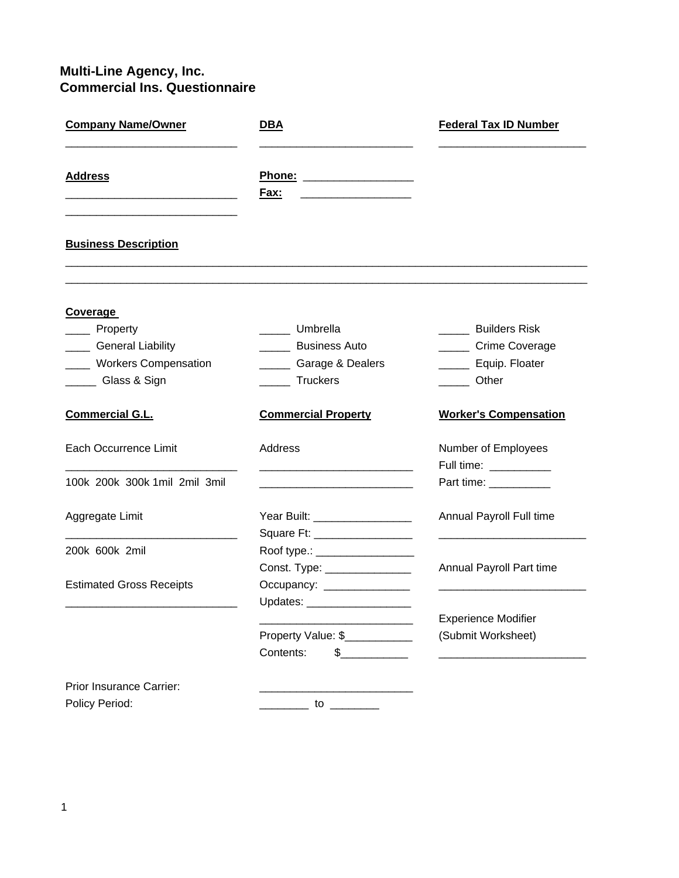## **Multi-Line Agency, Inc. Commercial Ins. Questionnaire**

| <b>Company Name/Owner</b><br><b>Address</b> | <u>DBA</u><br>Fax:                                  | <b>Federal Tax ID Number</b> |                             |
|---------------------------------------------|-----------------------------------------------------|------------------------------|-----------------------------|
|                                             |                                                     |                              | <b>Business Description</b> |
| <b>Coverage</b>                             |                                                     |                              |                             |
| Property                                    | Umbrella                                            | <b>Builders Risk</b>         |                             |
| ___ General Liability                       | <b>Business Auto</b>                                | ______ Crime Coverage        |                             |
| __ Workers Compensation                     | ______ Garage & Dealers                             | ______ Equip. Floater        |                             |
| ____ Glass & Sign                           | <b>Truckers</b>                                     | <b>Other</b>                 |                             |
| <b>Commercial G.L.</b>                      | <b>Commercial Property</b>                          | <b>Worker's Compensation</b> |                             |
| Each Occurrence Limit                       | Address                                             | Number of Employees          |                             |
|                                             | <u> 1980 - Johann Barbara, martxa alemaniar arg</u> | Full time: __________        |                             |
| 100k 200k 300k 1mil 2mil 3mil               |                                                     | Part time: ___________       |                             |
| Aggregate Limit                             | Year Built: __________________                      | Annual Payroll Full time     |                             |
|                                             | Square Ft: __________________                       |                              |                             |
| 200k 600k 2mil                              | Roof type.: __________________                      |                              |                             |
|                                             | Const. Type: ________________                       | Annual Payroll Part time     |                             |
| <b>Estimated Gross Receipts</b>             | Occupancy: _______________                          |                              |                             |
|                                             | Updates: ___________________                        |                              |                             |
|                                             |                                                     | <b>Experience Modifier</b>   |                             |
|                                             | Property Value: \$                                  | (Submit Worksheet)           |                             |
|                                             | Contents:<br>$\frac{1}{2}$                          |                              |                             |
| Prior Insurance Carrier:                    |                                                     |                              |                             |
| Policy Period:                              | $\frac{10}{\sqrt{25}}$                              |                              |                             |